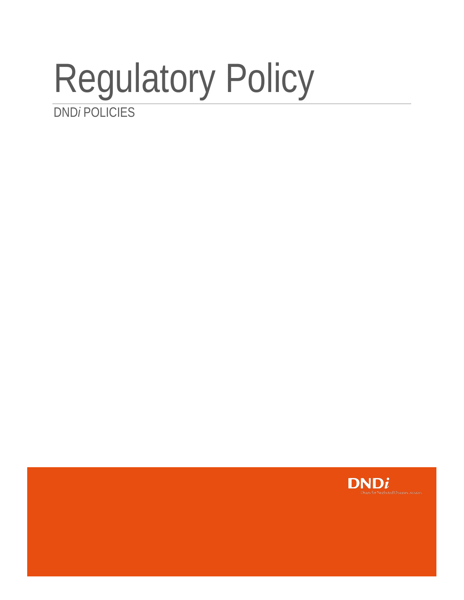## Regulatory Policy DND*i* POLICIES